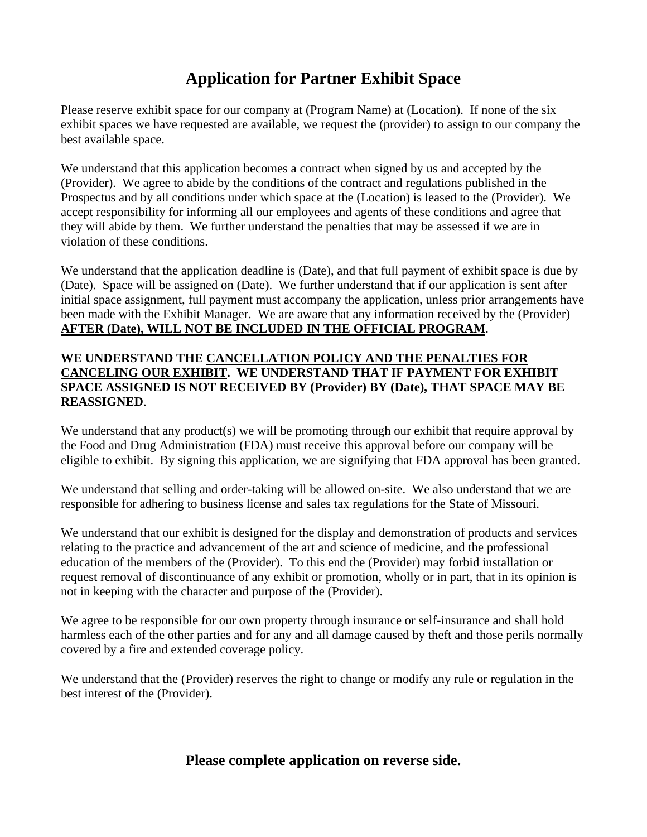# **Application for Partner Exhibit Space**

Please reserve exhibit space for our company at (Program Name) at (Location). If none of the six exhibit spaces we have requested are available, we request the (provider) to assign to our company the best available space.

We understand that this application becomes a contract when signed by us and accepted by the (Provider). We agree to abide by the conditions of the contract and regulations published in the Prospectus and by all conditions under which space at the (Location) is leased to the (Provider). We accept responsibility for informing all our employees and agents of these conditions and agree that they will abide by them. We further understand the penalties that may be assessed if we are in violation of these conditions.

We understand that the application deadline is (Date), and that full payment of exhibit space is due by (Date). Space will be assigned on (Date). We further understand that if our application is sent after initial space assignment, full payment must accompany the application, unless prior arrangements have been made with the Exhibit Manager. We are aware that any information received by the (Provider) **AFTER (Date), WILL NOT BE INCLUDED IN THE OFFICIAL PROGRAM**.

#### **WE UNDERSTAND THE CANCELLATION POLICY AND THE PENALTIES FOR CANCELING OUR EXHIBIT. WE UNDERSTAND THAT IF PAYMENT FOR EXHIBIT SPACE ASSIGNED IS NOT RECEIVED BY (Provider) BY (Date), THAT SPACE MAY BE REASSIGNED**.

We understand that any product(s) we will be promoting through our exhibit that require approval by the Food and Drug Administration (FDA) must receive this approval before our company will be eligible to exhibit. By signing this application, we are signifying that FDA approval has been granted.

We understand that selling and order-taking will be allowed on-site. We also understand that we are responsible for adhering to business license and sales tax regulations for the State of Missouri.

We understand that our exhibit is designed for the display and demonstration of products and services relating to the practice and advancement of the art and science of medicine, and the professional education of the members of the (Provider). To this end the (Provider) may forbid installation or request removal of discontinuance of any exhibit or promotion, wholly or in part, that in its opinion is not in keeping with the character and purpose of the (Provider).

We agree to be responsible for our own property through insurance or self-insurance and shall hold harmless each of the other parties and for any and all damage caused by theft and those perils normally covered by a fire and extended coverage policy.

We understand that the (Provider) reserves the right to change or modify any rule or regulation in the best interest of the (Provider).

**Please complete application on reverse side.**